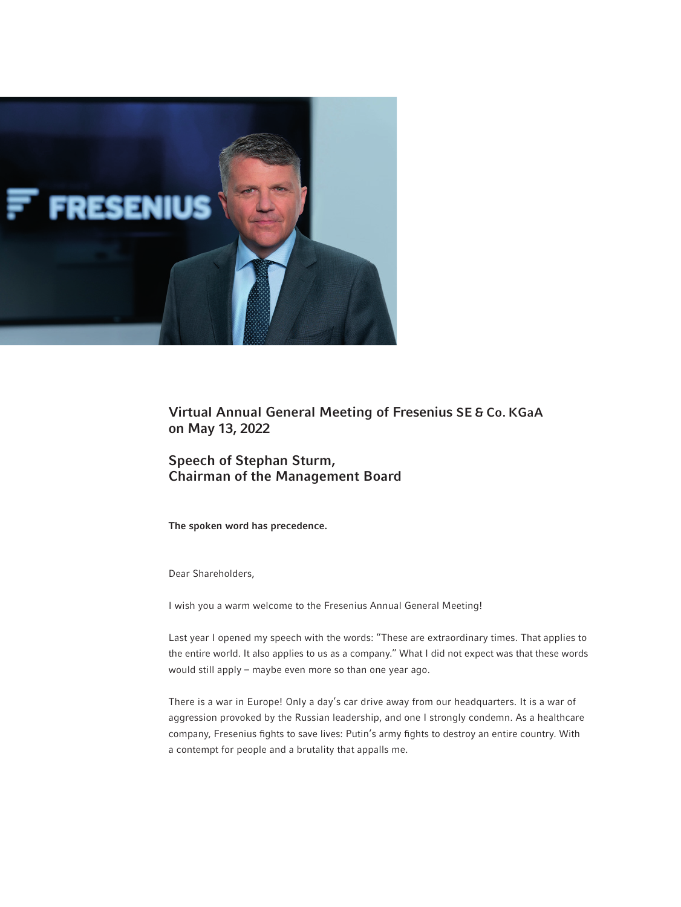

Virtual Annual General Meeting of Fresenius SE & Co. KGaA on May 13, 2022

# Speech of Stephan Sturm, Chairman of the Management Board

The spoken word has precedence.

Dear Shareholders,

I wish you a warm welcome to the Fresenius Annual General Meeting!

Last year I opened my speech with the words: "These are extraordinary times. That applies to the entire world. It also applies to us as a company." What I did not expect was that these words would still apply – maybe even more so than one year ago.

There is a war in Europe! Only a day's car drive away from our headquarters. It is a war of aggression provoked by the Russian leadership, and one I strongly condemn. As a healthcare company, Fresenius fights to save lives: Putin's army fights to destroy an entire country. With a contempt for people and a brutality that appalls me.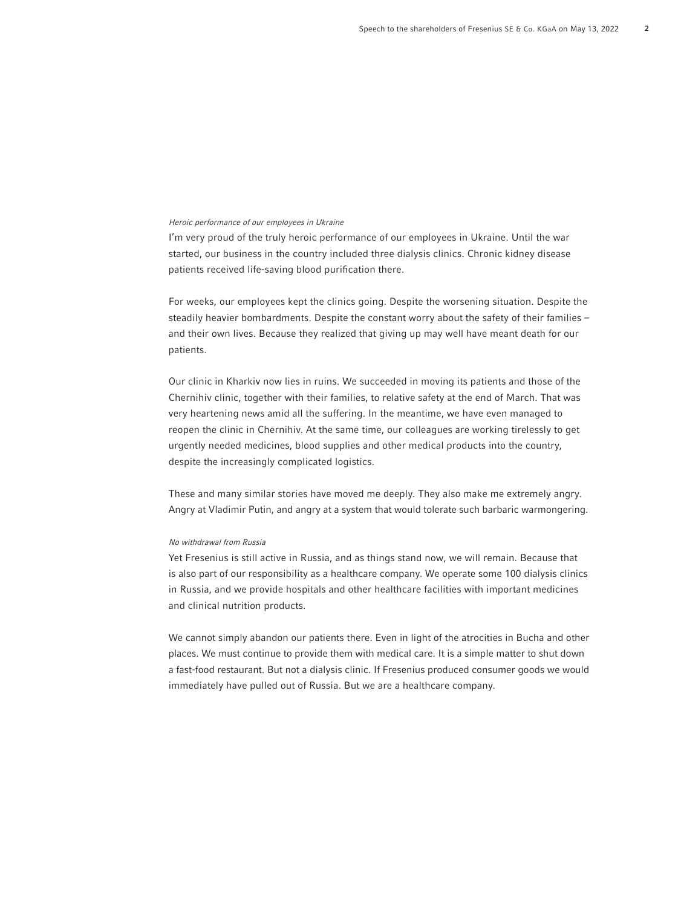#### Heroic performance of our employees in Ukraine

I'm very proud of the truly heroic performance of our employees in Ukraine. Until the war started, our business in the country included three dialysis clinics. Chronic kidney disease patients received life-saving blood purification there.

For weeks, our employees kept the clinics going. Despite the worsening situation. Despite the steadily heavier bombardments. Despite the constant worry about the safety of their families – and their own lives. Because they realized that giving up may well have meant death for our patients.

Our clinic in Kharkiv now lies in ruins. We succeeded in moving its patients and those of the Chernihiv clinic, together with their families, to relative safety at the end of March. That was very heartening news amid all the suffering. In the meantime, we have even managed to reopen the clinic in Chernihiv. At the same time, our colleagues are working tirelessly to get urgently needed medicines, blood supplies and other medical products into the country, despite the increasingly complicated logistics.

These and many similar stories have moved me deeply. They also make me extremely angry. Angry at Vladimir Putin, and angry at a system that would tolerate such barbaric warmongering.

#### No withdrawal from Russia

Yet Fresenius is still active in Russia, and as things stand now, we will remain. Because that is also part of our responsibility as a healthcare company. We operate some 100 dialysis clinics in Russia, and we provide hospitals and other healthcare facilities with important medicines and clinical nutrition products.

We cannot simply abandon our patients there. Even in light of the atrocities in Bucha and other places. We must continue to provide them with medical care. It is a simple matter to shut down a fast-food restaurant. But not a dialysis clinic. If Fresenius produced consumer goods we would immediately have pulled out of Russia. But we are a healthcare company.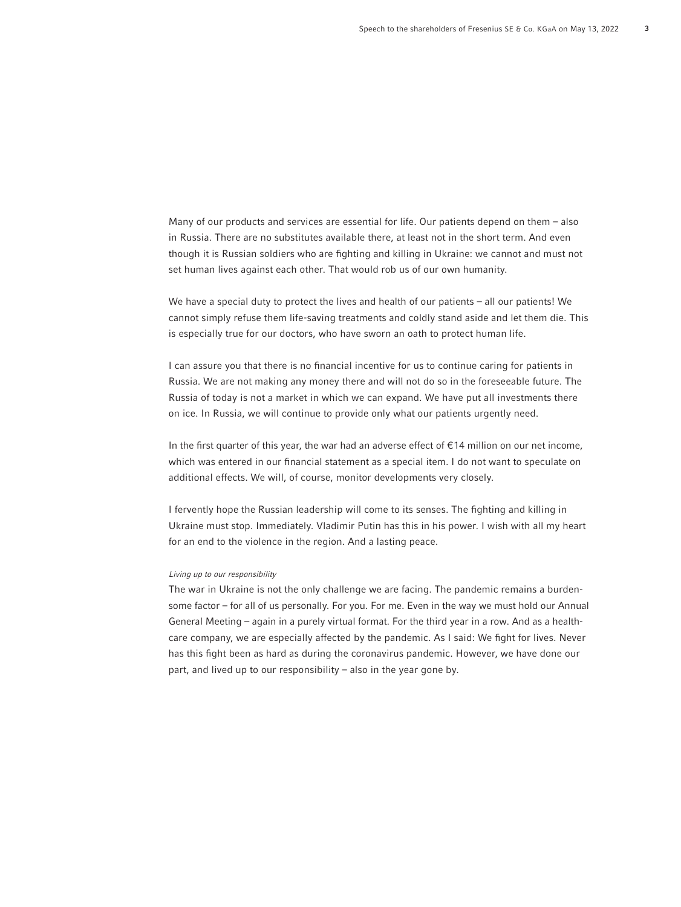Many of our products and services are essential for life. Our patients depend on them – also in Russia. There are no substitutes available there, at least not in the short term. And even though it is Russian soldiers who are fighting and killing in Ukraine: we cannot and must not set human lives against each other. That would rob us of our own humanity.

We have a special duty to protect the lives and health of our patients – all our patients! We cannot simply refuse them life-saving treatments and coldly stand aside and let them die. This is especially true for our doctors, who have sworn an oath to protect human life.

I can assure you that there is no financial incentive for us to continue caring for patients in Russia. We are not making any money there and will not do so in the foreseeable future. The Russia of today is not a market in which we can expand. We have put all investments there on ice. In Russia, we will continue to provide only what our patients urgently need.

In the first quarter of this year, the war had an adverse effect of  $\epsilon$ 14 million on our net income, which was entered in our financial statement as a special item. I do not want to speculate on additional effects. We will, of course, monitor developments very closely.

I fervently hope the Russian leadership will come to its senses. The fighting and killing in Ukraine must stop. Immediately. Vladimir Putin has this in his power. I wish with all my heart for an end to the violence in the region. And a lasting peace.

## Living up to our responsibility

The war in Ukraine is not the only challenge we are facing. The pandemic remains a burdensome factor – for all of us personally. For you. For me. Even in the way we must hold our Annual General Meeting – again in a purely virtual format. For the third year in a row. And as a healthcare company, we are especially affected by the pandemic. As I said: We fight for lives. Never has this fight been as hard as during the coronavirus pandemic. However, we have done our part, and lived up to our responsibility – also in the year gone by.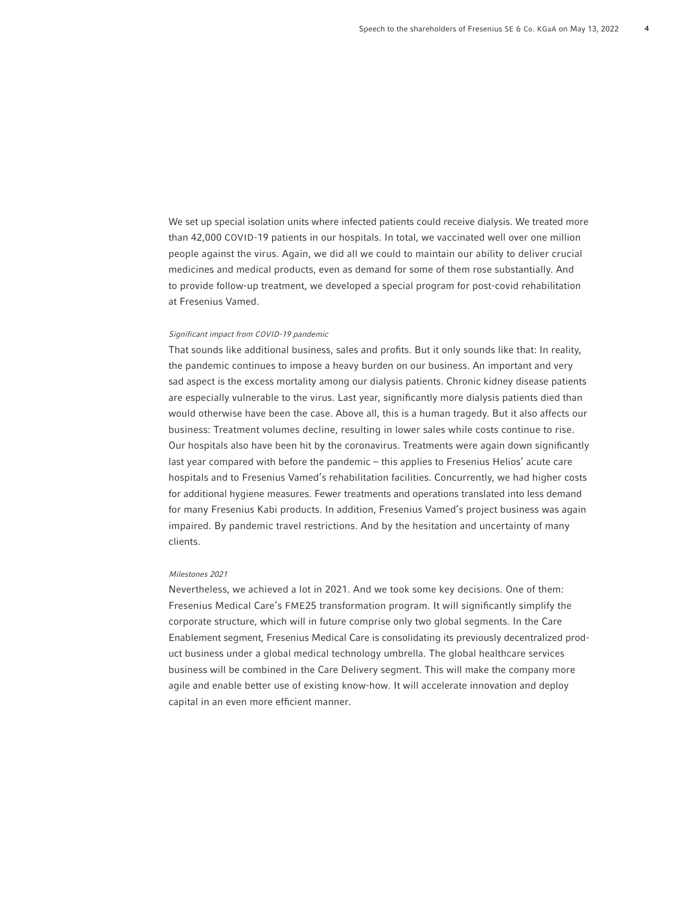We set up special isolation units where infected patients could receive dialysis. We treated more than 42,000 COVID-19 patients in our hospitals. In total, we vaccinated well over one million people against the virus. Again, we did all we could to maintain our ability to deliver crucial medicines and medical products, even as demand for some of them rose substantially. And to provide follow-up treatment, we developed a special program for post-covid rehabilitation at Fresenius Vamed.

#### Significant impact from COVID-19 pandemic

That sounds like additional business, sales and profits. But it only sounds like that: In reality, the pandemic continues to impose a heavy burden on our business. An important and very sad aspect is the excess mortality among our dialysis patients. Chronic kidney disease patients are especially vulnerable to the virus. Last year, significantly more dialysis patients died than would otherwise have been the case. Above all, this is a human tragedy. But it also affects our business: Treatment volumes decline, resulting in lower sales while costs continue to rise. Our hospitals also have been hit by the coronavirus. Treatments were again down significantly last year compared with before the pandemic – this applies to Fresenius Helios' acute care hospitals and to Fresenius Vamed's rehabilitation facilities. Concurrently, we had higher costs for additional hygiene measures. Fewer treatments and operations translated into less demand for many Fresenius Kabi products. In addition, Fresenius Vamed's project business was again impaired. By pandemic travel restrictions. And by the hesitation and uncertainty of many clients.

### Milestones 2021

Nevertheless, we achieved a lot in 2021. And we took some key decisions. One of them: Fresenius Medical Care's FME25 transformation program. It will significantly simplify the corporate structure, which will in future comprise only two global segments. In the Care Enablement segment, Fresenius Medical Care is consolidating its previously decentralized product business under a global medical technology umbrella. The global healthcare services business will be combined in the Care Delivery segment. This will make the company more agile and enable better use of existing know-how. It will accelerate innovation and deploy capital in an even more efficient manner.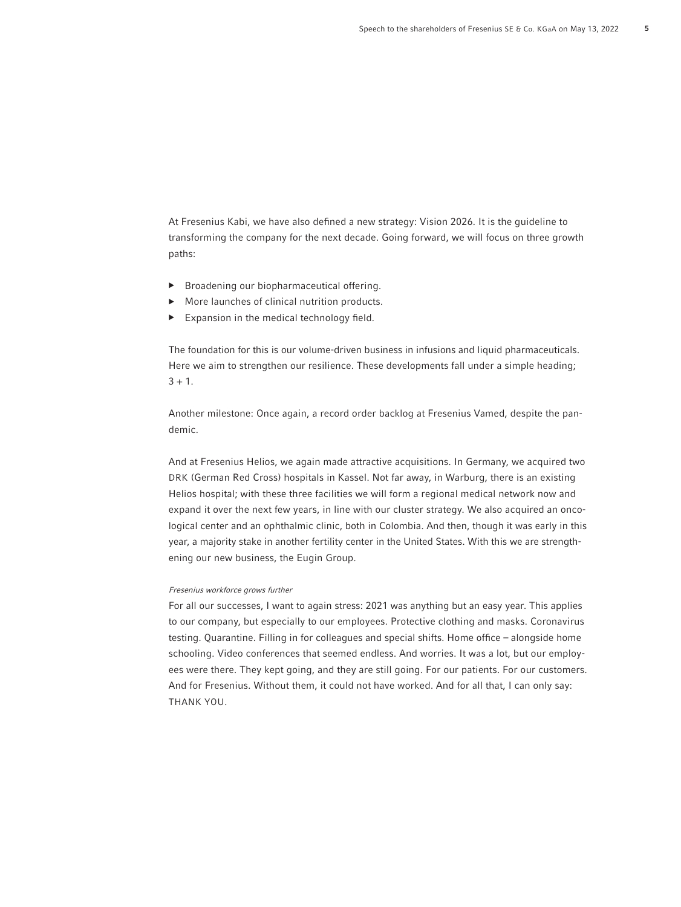At Fresenius Kabi, we have also defined a new strategy: Vision 2026. It is the guideline to transforming the company for the next decade. Going forward, we will focus on three growth paths:

- ▶ Broadening our biopharmaceutical offering.
- More launches of clinical nutrition products.
- Expansion in the medical technology field.

The foundation for this is our volume-driven business in infusions and liquid pharmaceuticals. Here we aim to strengthen our resilience. These developments fall under a simple heading;  $3 + 1$ .

Another milestone: Once again, a record order backlog at Fresenius Vamed, despite the pandemic.

And at Fresenius Helios, we again made attractive acquisitions. In Germany, we acquired two DRK (German Red Cross) hospitals in Kassel. Not far away, in Warburg, there is an existing Helios hospital; with these three facilities we will form a regional medical network now and expand it over the next few years, in line with our cluster strategy. We also acquired an oncological center and an ophthalmic clinic, both in Colombia. And then, though it was early in this year, a majority stake in another fertility center in the United States. With this we are strengthening our new business, the Eugin Group.

## Fresenius workforce grows further

For all our successes, I want to again stress: 2021 was anything but an easy year. This applies to our company, but especially to our employees. Protective clothing and masks. Coronavirus testing. Quarantine. Filling in for colleagues and special shifts. Home office - alongside home schooling. Video conferences that seemed endless. And worries. It was a lot, but our employees were there. They kept going, and they are still going. For our patients. For our customers. And for Fresenius. Without them, it could not have worked. And for all that, I can only say: THANK YOU.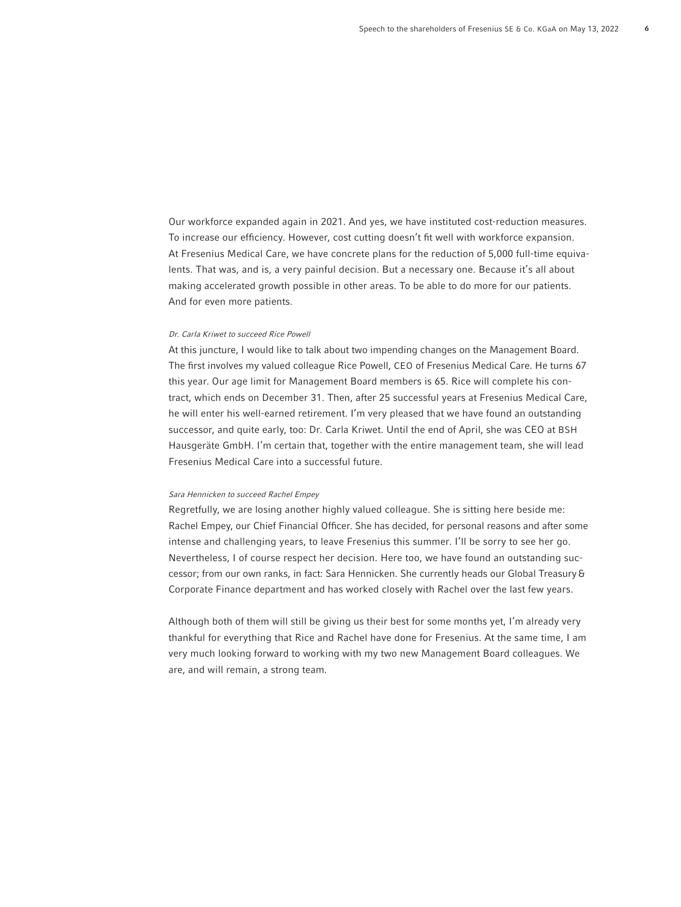Our workforce expanded again in 2021. And yes, we have instituted cost-reduction measures. To increase our efficiency. However, cost cutting doesn't fit well with workforce expansion. At Fresenius Medical Care, we have concrete plans for the reduction of 5,000 full-time equivalents. That was, and is, a very painful decision. But a necessary one. Because it's all about making accelerated growth possible in other areas. To be able to do more for our patients. And for even more patients.

#### Dr. Carla Kriwet to succeed Rice Powell

At this juncture, I would like to talk about two impending changes on the Management Board. The first involves my valued colleague Rice Powell, CEO of Fresenius Medical Care. He turns 67 this year. Our age limit for Management Board members is 65. Rice will complete his contract, which ends on December 31. Then, after 25 successful years at Fresenius Medical Care, he will enter his well-earned retirement. I'm very pleased that we have found an outstanding successor, and quite early, too: Dr. Carla Kriwet. Until the end of April, she was CEO at BSH Hausgeräte GmbH. I'm certain that, together with the entire management team, she will lead Fresenius Medical Care into a successful future.

## Sara Hennicken to succeed Rachel Empey

Regretfully, we are losing another highly valued colleague. She is sitting here beside me: Rachel Empey, our Chief Financial Officer. She has decided, for personal reasons and after some intense and challenging years, to leave Fresenius this summer. I'll be sorry to see her go. Nevertheless, I of course respect her decision. Here too, we have found an outstanding successor; from our own ranks, in fact: Sara Hennicken. She currently heads our Global Treasury & Corporate Finance department and has worked closely with Rachel over the last few years.

Although both of them will still be giving us their best for some months yet, I'm already very thankful for everything that Rice and Rachel have done for Fresenius. At the same time, I am very much looking forward to working with my two new Management Board colleagues. We are, and will remain, a strong team.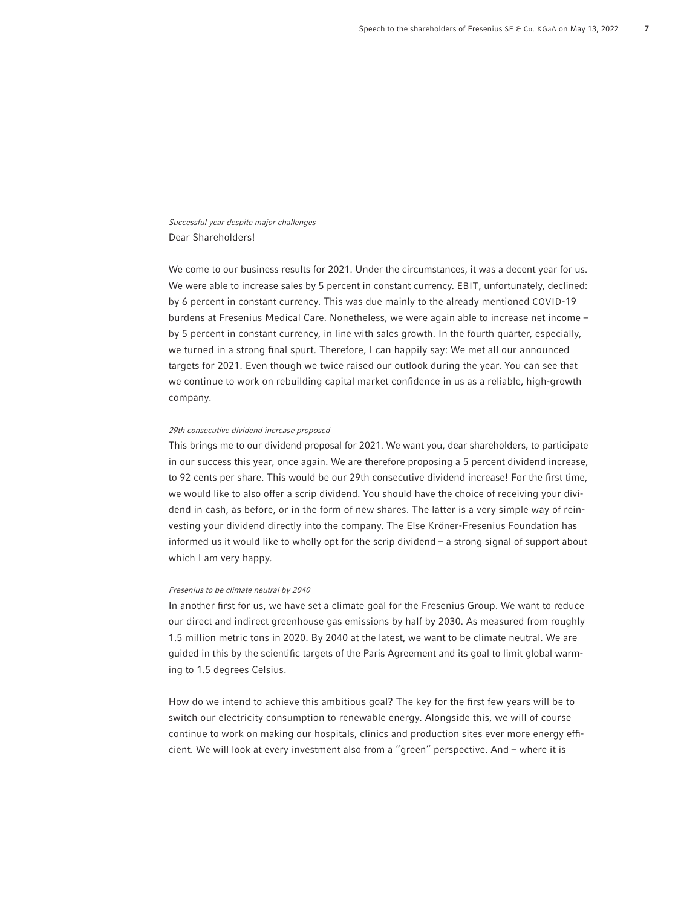Successful year despite major challenges Dear Shareholders!

We come to our business results for 2021. Under the circumstances, it was a decent year for us. We were able to increase sales by 5 percent in constant currency. EBIT, unfortunately, declined: by 6 percent in constant currency. This was due mainly to the already mentioned COVID-19 burdens at Fresenius Medical Care. Nonetheless, we were again able to increase net income – by 5 percent in constant currency, in line with sales growth. In the fourth quarter, especially, we turned in a strong final spurt. Therefore, I can happily say: We met all our announced targets for 2021. Even though we twice raised our outlook during the year. You can see that we continue to work on rebuilding capital market confidence in us as a reliable, high-growth company.

#### 29th consecutive dividend increase proposed

This brings me to our dividend proposal for 2021. We want you, dear shareholders, to participate in our success this year, once again. We are therefore proposing a 5 percent dividend increase, to 92 cents per share. This would be our 29th consecutive dividend increase! For the first time, we would like to also offer a scrip dividend. You should have the choice of receiving your dividend in cash, as before, or in the form of new shares. The latter is a very simple way of reinvesting your dividend directly into the company. The Else Kröner-Fresenius Foundation has informed us it would like to wholly opt for the scrip dividend – a strong signal of support about which I am very happy.

#### Fresenius to be climate neutral by 2040

In another first for us, we have set a climate goal for the Fresenius Group. We want to reduce our direct and indirect greenhouse gas emissions by half by 2030. As measured from roughly 1.5 million metric tons in 2020. By 2040 at the latest, we want to be climate neutral. We are guided in this by the scientific targets of the Paris Agreement and its goal to limit global warming to 1.5 degrees Celsius.

How do we intend to achieve this ambitious goal? The key for the first few years will be to switch our electricity consumption to renewable energy. Alongside this, we will of course continue to work on making our hospitals, clinics and production sites ever more energy efficient. We will look at every investment also from a "green" perspective. And – where it is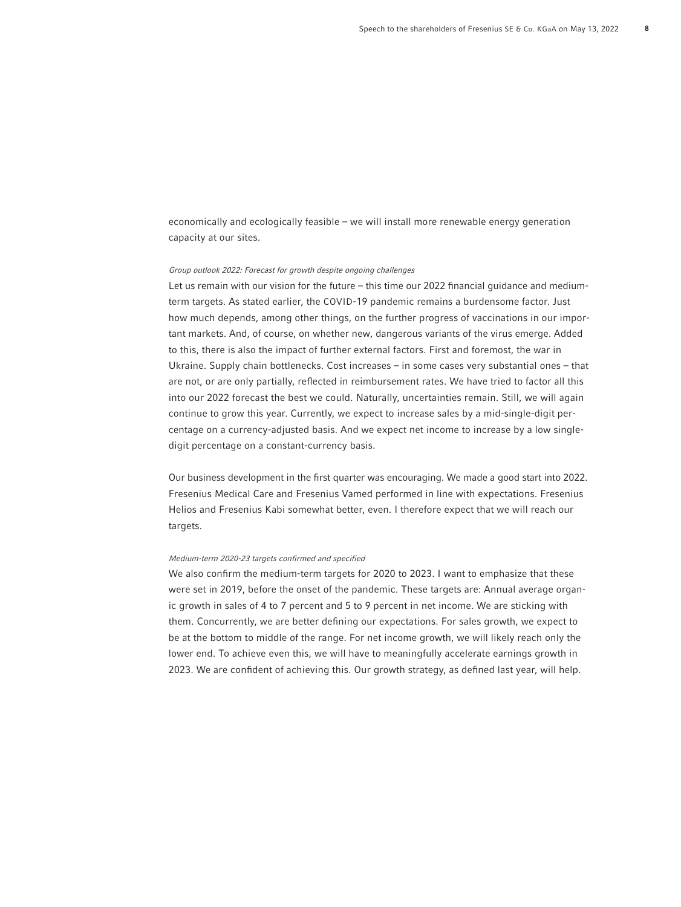economically and ecologically feasible – we will install more renewable energy generation capacity at our sites.

### Group outlook 2022: Forecast for growth despite ongoing challenges

Let us remain with our vision for the future – this time our 2022 financial quidance and mediumterm targets. As stated earlier, the COVID-19 pandemic remains a burdensome factor. Just how much depends, among other things, on the further progress of vaccinations in our important markets. And, of course, on whether new, dangerous variants of the virus emerge. Added to this, there is also the impact of further external factors. First and foremost, the war in Ukraine. Supply chain bottlenecks. Cost increases – in some cases very substantial ones – that are not, or are only partially, reflected in reimbursement rates. We have tried to factor all this into our 2022 forecast the best we could. Naturally, uncertainties remain. Still, we will again continue to grow this year. Currently, we expect to increase sales by a mid-single-digit percentage on a currency-adjusted basis. And we expect net income to increase by a low singledigit percentage on a constant-currency basis.

Our business development in the first quarter was encouraging. We made a good start into 2022. Fresenius Medical Care and Fresenius Vamed performed in line with expectations. Fresenius Helios and Fresenius Kabi somewhat better, even. I therefore expect that we will reach our targets.

#### Medium-term 2020-23 targets confirmed and specified

We also confirm the medium-term targets for 2020 to 2023. I want to emphasize that these were set in 2019, before the onset of the pandemic. These targets are: Annual average organic growth in sales of 4 to 7 percent and 5 to 9 percent in net income. We are sticking with them. Concurrently, we are better defining our expectations. For sales growth, we expect to be at the bottom to middle of the range. For net income growth, we will likely reach only the lower end. To achieve even this, we will have to meaningfully accelerate earnings growth in 2023. We are confident of achieving this. Our growth strategy, as defined last year, will help.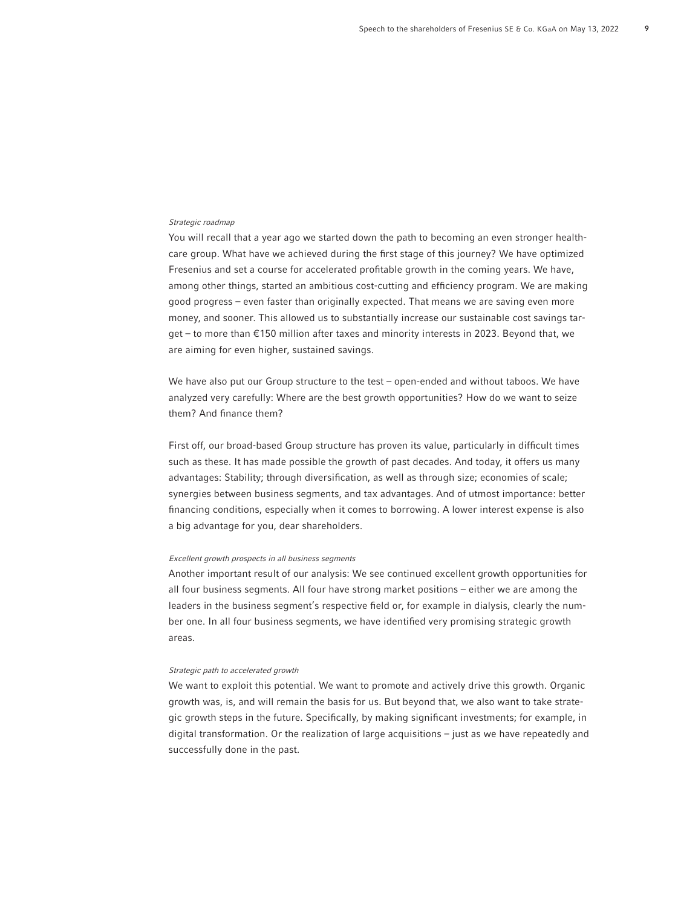#### Strategic roadmap

You will recall that a year ago we started down the path to becoming an even stronger healthcare group. What have we achieved during the first stage of this journey? We have optimized Fresenius and set a course for accelerated profitable growth in the coming years. We have, among other things, started an ambitious cost-cutting and efficiency program. We are making good progress – even faster than originally expected. That means we are saving even more money, and sooner. This allowed us to substantially increase our sustainable cost savings target – to more than €150 million after taxes and minority interests in 2023. Beyond that, we are aiming for even higher, sustained savings.

We have also put our Group structure to the test – open-ended and without taboos. We have analyzed very carefully: Where are the best growth opportunities? How do we want to seize them? And finance them?

First off, our broad-based Group structure has proven its value, particularly in difficult times such as these. It has made possible the growth of past decades. And today, it offers us many advantages: Stability; through diversification, as well as through size; economies of scale; synergies between business segments, and tax advantages. And of utmost importance: better financing conditions, especially when it comes to borrowing. A lower interest expense is also a big advantage for you, dear shareholders.

#### Excellent growth prospects in all business segments

Another important result of our analysis: We see continued excellent growth opportunities for all four business segments. All four have strong market positions – either we are among the leaders in the business segment's respective field or, for example in dialysis, clearly the number one. In all four business segments, we have identified very promising strategic growth areas.

#### Strategic path to accelerated growth

We want to exploit this potential. We want to promote and actively drive this growth. Organic growth was, is, and will remain the basis for us. But beyond that, we also want to take strategic growth steps in the future. Specifically, by making significant investments; for example, in digital transformation. Or the realization of large acquisitions – just as we have repeatedly and successfully done in the past.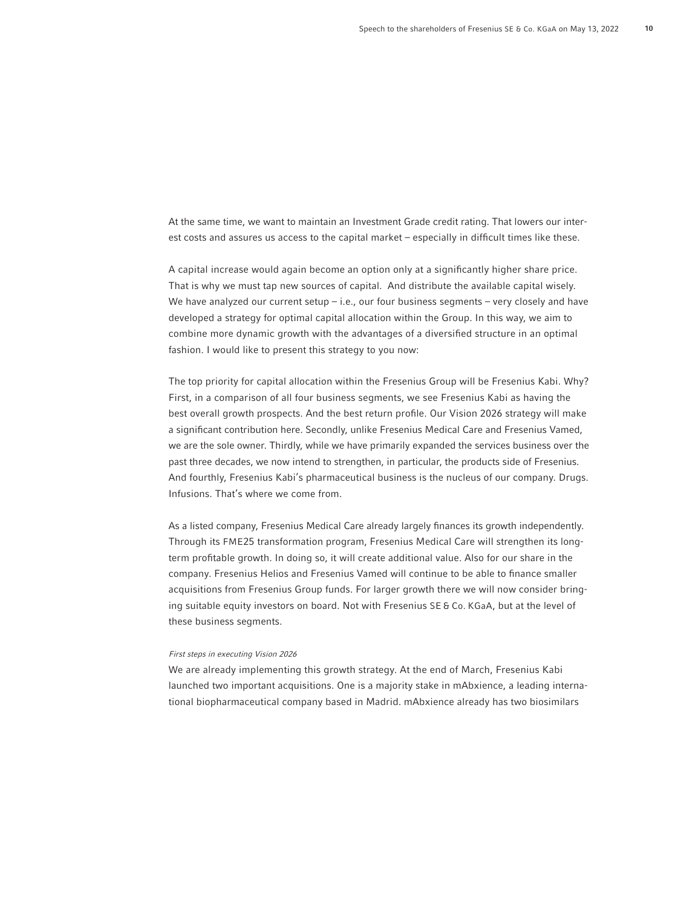At the same time, we want to maintain an Investment Grade credit rating. That lowers our interest costs and assures us access to the capital market – especially in difficult times like these.

A capital increase would again become an option only at a significantly higher share price. That is why we must tap new sources of capital. And distribute the available capital wisely. We have analyzed our current setup  $-$  i.e., our four business segments  $-$  very closely and have developed a strategy for optimal capital allocation within the Group. In this way, we aim to combine more dynamic growth with the advantages of a diversified structure in an optimal fashion. I would like to present this strategy to you now:

The top priority for capital allocation within the Fresenius Group will be Fresenius Kabi. Why? First, in a comparison of all four business segments, we see Fresenius Kabi as having the best overall growth prospects. And the best return profile. Our Vision 2026 strategy will make a significant contribution here. Secondly, unlike Fresenius Medical Care and Fresenius Vamed, we are the sole owner. Thirdly, while we have primarily expanded the services business over the past three decades, we now intend to strengthen, in particular, the products side of Fresenius. And fourthly, Fresenius Kabi's pharmaceutical business is the nucleus of our company. Drugs. Infusions. That's where we come from.

As a listed company, Fresenius Medical Care already largely finances its growth independently. Through its FME25 transformation program, Fresenius Medical Care will strengthen its longterm profitable growth. In doing so, it will create additional value. Also for our share in the company. Fresenius Helios and Fresenius Vamed will continue to be able to finance smaller acquisitions from Fresenius Group funds. For larger growth there we will now consider bringing suitable equity investors on board. Not with Fresenius SE & Co. KGaA, but at the level of these business segments.

### First steps in executing Vision 2026

We are already implementing this growth strategy. At the end of March, Fresenius Kabi launched two important acquisitions. One is a majority stake in mAbxience, a leading international biopharmaceutical company based in Madrid. mAbxience already has two biosimilars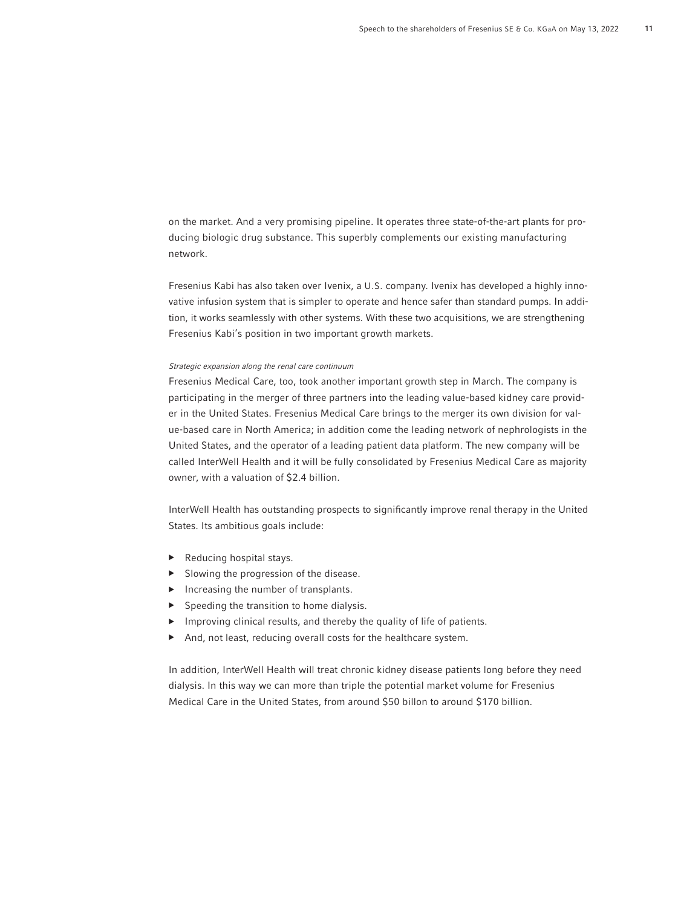on the market. And a very promising pipeline. It operates three state-of-the-art plants for producing biologic drug substance. This superbly complements our existing manufacturing network.

Fresenius Kabi has also taken over Ivenix, a U.S. company. Ivenix has developed a highly innovative infusion system that is simpler to operate and hence safer than standard pumps. In addition, it works seamlessly with other systems. With these two acquisitions, we are strengthening Fresenius Kabi's position in two important growth markets.

#### Strategic expansion along the renal care continuum

Fresenius Medical Care, too, took another important growth step in March. The company is participating in the merger of three partners into the leading value-based kidney care provider in the United States. Fresenius Medical Care brings to the merger its own division for value-based care in North America; in addition come the leading network of nephrologists in the United States, and the operator of a leading patient data platform. The new company will be called InterWell Health and it will be fully consolidated by Fresenius Medical Care as majority owner, with a valuation of \$2.4 billion.

InterWell Health has outstanding prospects to significantly improve renal therapy in the United States. Its ambitious goals include:

- $\blacktriangleright$  Reducing hospital stays.
- $\triangleright$  Slowing the progression of the disease.
- ▶ Increasing the number of transplants.
- $\blacktriangleright$  Speeding the transition to home dialysis.
- ▶ Improving clinical results, and thereby the quality of life of patients.
- And, not least, reducing overall costs for the healthcare system.

In addition, InterWell Health will treat chronic kidney disease patients long before they need dialysis. In this way we can more than triple the potential market volume for Fresenius Medical Care in the United States, from around \$50 billon to around \$170 billion.